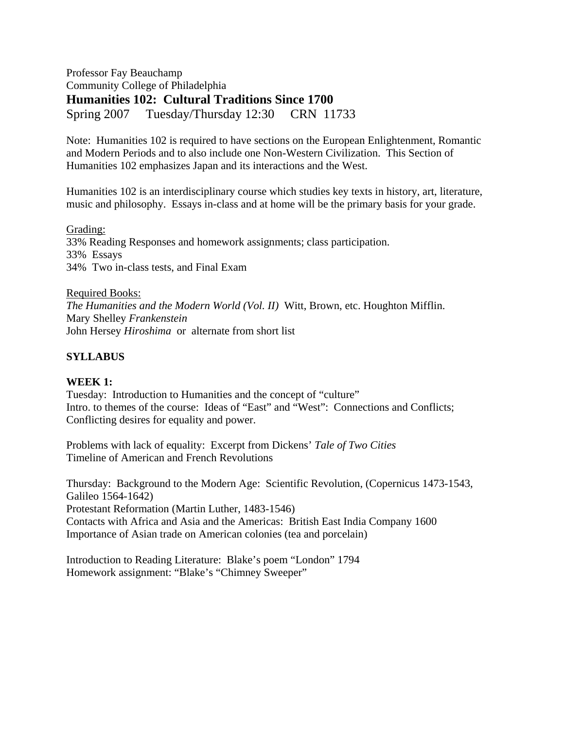Professor Fay Beauchamp Community College of Philadelphia **Humanities 102: Cultural Traditions Since 1700**  Spring 2007 Tuesday/Thursday 12:30 CRN 11733

Note: Humanities 102 is required to have sections on the European Enlightenment, Romantic and Modern Periods and to also include one Non-Western Civilization. This Section of Humanities 102 emphasizes Japan and its interactions and the West.

Humanities 102 is an interdisciplinary course which studies key texts in history, art, literature, music and philosophy. Essays in-class and at home will be the primary basis for your grade.

Grading: 33% Reading Responses and homework assignments; class participation. 33% Essays 34% Two in-class tests, and Final Exam

Required Books: *The Humanities and the Modern World (Vol. II)* Witt, Brown, etc. Houghton Mifflin. Mary Shelley *Frankenstein*  John Hersey *Hiroshima* or alternate from short list

# **SYLLABUS**

#### **WEEK 1:**

Tuesday: Introduction to Humanities and the concept of "culture" Intro. to themes of the course: Ideas of "East" and "West": Connections and Conflicts; Conflicting desires for equality and power.

Problems with lack of equality: Excerpt from Dickens' *Tale of Two Cities*  Timeline of American and French Revolutions

Thursday: Background to the Modern Age: Scientific Revolution, (Copernicus 1473-1543, Galileo 1564-1642) Protestant Reformation (Martin Luther, 1483-1546) Contacts with Africa and Asia and the Americas: British East India Company 1600 Importance of Asian trade on American colonies (tea and porcelain)

Introduction to Reading Literature: Blake's poem "London" 1794 Homework assignment: "Blake's "Chimney Sweeper"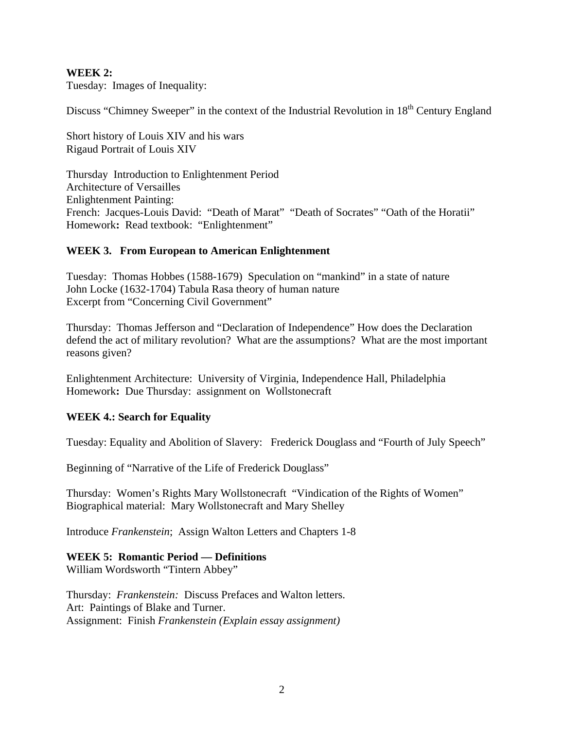### **WEEK 2:**

Tuesday: Images of Inequality:

Discuss "Chimney Sweeper" in the context of the Industrial Revolution in 18<sup>th</sup> Century England

Short history of Louis XIV and his wars Rigaud Portrait of Louis XIV

Thursday Introduction to Enlightenment Period Architecture of Versailles Enlightenment Painting: French: Jacques-Louis David: "Death of Marat" "Death of Socrates" "Oath of the Horatii" Homework: Read textbook: "Enlightenment"

## **WEEK 3. From European to American Enlightenment**

Tuesday: Thomas Hobbes (1588-1679) Speculation on "mankind" in a state of nature John Locke (1632-1704) Tabula Rasa theory of human nature Excerpt from "Concerning Civil Government"

Thursday: Thomas Jefferson and "Declaration of Independence" How does the Declaration defend the act of military revolution? What are the assumptions? What are the most important reasons given?

Enlightenment Architecture: University of Virginia, Independence Hall, Philadelphia Homework**:** Due Thursday: assignment onWollstonecraft

#### **WEEK 4.: Search for Equality**

Tuesday: Equality and Abolition of Slavery: Frederick Douglass and "Fourth of July Speech"

Beginning of "Narrative of the Life of Frederick Douglass"

Thursday: Women's Rights Mary Wollstonecraft "Vindication of the Rights of Women" Biographical material: Mary Wollstonecraft and Mary Shelley

Introduce *Frankenstein*; Assign Walton Letters and Chapters 1-8

#### **WEEK 5: Romantic Period — Definitions**

William Wordsworth "Tintern Abbey"

Thursday: *Frankenstein:* Discuss Prefaces and Walton letters. Art: Paintings of Blake and Turner. Assignment: Finish *Frankenstein (Explain essay assignment)*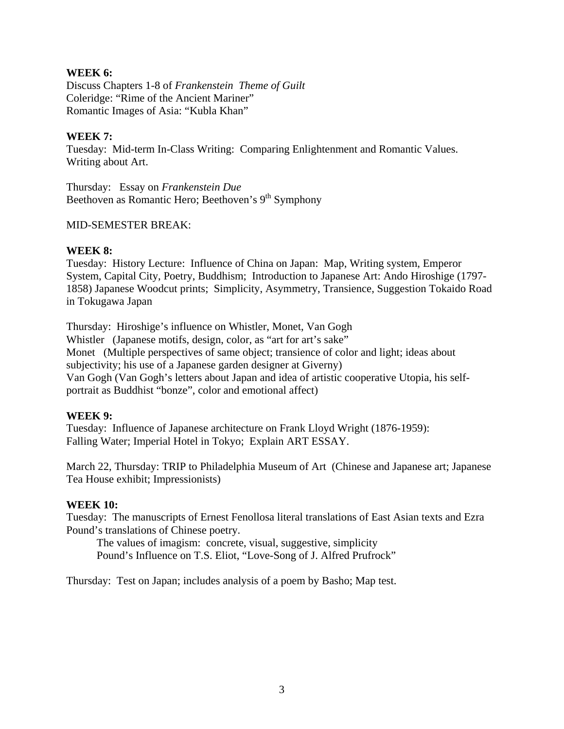### **WEEK 6:**

Discuss Chapters 1-8 of *Frankenstein Theme of Guilt*  Coleridge: "Rime of the Ancient Mariner" Romantic Images of Asia: "Kubla Khan"

### **WEEK 7:**

Tuesday: Mid-term In-Class Writing: Comparing Enlightenment and Romantic Values. Writing about Art.

Thursday: Essay on *Frankenstein Due* Beethoven as Romantic Hero; Beethoven's 9<sup>th</sup> Symphony

#### MID-SEMESTER BREAK:

## **WEEK 8:**

Tuesday: History Lecture: Influence of China on Japan: Map, Writing system, Emperor System, Capital City, Poetry, Buddhism; Introduction to Japanese Art: Ando Hiroshige (1797- 1858) Japanese Woodcut prints; Simplicity, Asymmetry, Transience, Suggestion Tokaido Road in Tokugawa Japan

Thursday: Hiroshige's influence on Whistler, Monet, Van Gogh Whistler (Japanese motifs, design, color, as "art for art's sake" Monet (Multiple perspectives of same object; transience of color and light; ideas about subjectivity; his use of a Japanese garden designer at Giverny) Van Gogh (Van Gogh's letters about Japan and idea of artistic cooperative Utopia, his selfportrait as Buddhist "bonze", color and emotional affect)

# **WEEK 9:**

Tuesday: Influence of Japanese architecture on Frank Lloyd Wright (1876-1959): Falling Water; Imperial Hotel in Tokyo; Explain ART ESSAY.

March 22, Thursday: TRIP to Philadelphia Museum of Art (Chinese and Japanese art; Japanese Tea House exhibit; Impressionists)

#### **WEEK 10:**

Tuesday: The manuscripts of Ernest Fenollosa literal translations of East Asian texts and Ezra Pound's translations of Chinese poetry.

 The values of imagism: concrete, visual, suggestive, simplicity Pound's Influence on T.S. Eliot, "Love-Song of J. Alfred Prufrock"

Thursday: Test on Japan; includes analysis of a poem by Basho; Map test.